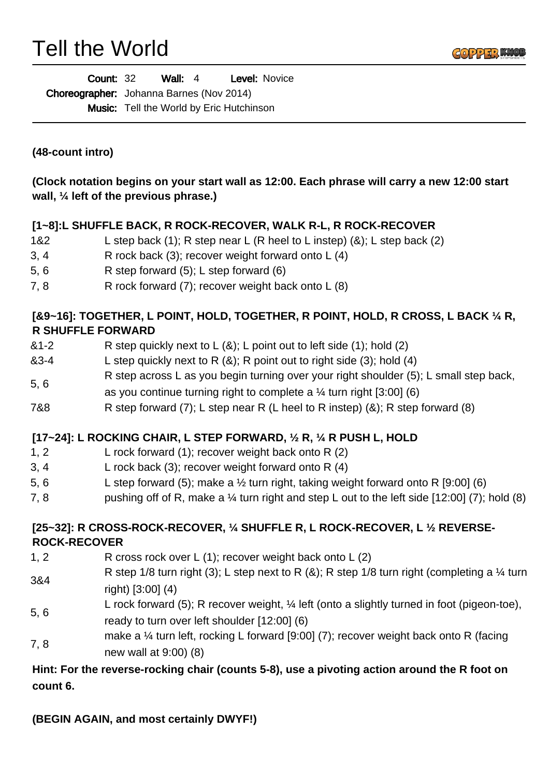# Tell the World



| <b>Count: 32</b> |                                                 | Wall: $4$ |  | Level: Novice                                   |
|------------------|-------------------------------------------------|-----------|--|-------------------------------------------------|
|                  | <b>Choreographer:</b> Johanna Barnes (Nov 2014) |           |  |                                                 |
|                  |                                                 |           |  | <b>Music:</b> Tell the World by Eric Hutchinson |

**(48-count intro)**

**(Clock notation begins on your start wall as 12:00. Each phrase will carry a new 12:00 start wall, ¼ left of the previous phrase.)**

### **[1~8]:L SHUFFLE BACK, R ROCK-RECOVER, WALK R-L, R ROCK-RECOVER**

- 1&2 L step back (1); R step near L (R heel to L instep) (&); L step back (2)
- 3, 4 R rock back  $(3)$ ; recover weight forward onto L  $(4)$
- 5, 6 R step forward (5); L step forward (6)
- 7, 8 R rock forward (7); recover weight back onto L (8)

## **[&9~16]: TOGETHER, L POINT, HOLD, TOGETHER, R POINT, HOLD, R CROSS, L BACK ¼ R, R SHUFFLE FORWARD**

- &1-2 R step quickly next to L (&); L point out to left side (1); hold (2)
- $&3-4$  L step quickly next to R  $&(8)$ ; R point out to right side (3); hold (4)
- 5, 6 R step across L as you begin turning over your right shoulder (5); L small step back, as you continue turning right to complete a  $\frac{1}{4}$  turn right [3:00] (6)
- 7&8 R step forward  $(7)$ ; L step near R (L heel to R instep)  $(8)$ ; R step forward  $(8)$

#### **[17~24]: L ROCKING CHAIR, L STEP FORWARD, ½ R, ¼ R PUSH L, HOLD**

- 1, 2 L rock forward (1); recover weight back onto R (2)
- 3, 4 L rock back (3); recover weight forward onto R (4)
- 5, 6 L step forward (5); make a  $\frac{1}{2}$  turn right, taking weight forward onto R [9:00] (6)
- 7, 8 pushing off of R, make a  $\frac{1}{4}$  turn right and step L out to the left side [12:00] (7); hold (8)

# **[25~32]: R CROSS-ROCK-RECOVER, ¼ SHUFFLE R, L ROCK-RECOVER, L ½ REVERSE-ROCK-RECOVER**

- 1, 2 R cross rock over L (1); recover weight back onto L (2)
- 3&4 R step 1/8 turn right (3); L step next to R  $(8)$ ; R step 1/8 turn right (completing a  $\frac{1}{4}$  turn right) [3:00] (4)
- 5, 6 L rock forward (5); R recover weight, ¼ left (onto a slightly turned in foot (pigeon-toe), ready to turn over left shoulder [12:00] (6)
- 7, 8 make a ¼ turn left, rocking L forward [9:00] (7); recover weight back onto R (facing new wall at 9:00) (8)

# **Hint: For the reverse-rocking chair (counts 5-8), use a pivoting action around the R foot on count 6.**

**(BEGIN AGAIN, and most certainly DWYF!)**